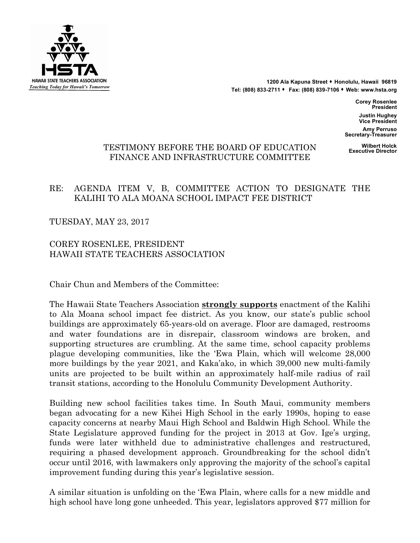

1200 Ala Kapuna Street **\*** Honolulu, Hawaii 96819 **Tel: (808) 833-2711** s **Fax: (808) 839-7106** s **Web: www.hsta.org**

> **Corey Rosenlee President Justin Hughey Vice President**

**Amy Perruso Secretary-Treasurer**

# **Wilbert Holck** TE **Executive Director** STIMONY BEFORE THE BOARD OF EDUCATION FINANCE AND INFRASTRUCTURE COMMITTEE

# RE: AGENDA ITEM V, B, COMMITTEE ACTION TO DESIGNATE THE KALIHI TO ALA MOANA SCHOOL IMPACT FEE DISTRICT

TUESDAY, MAY 23, 2017

COREY ROSENLEE, PRESIDENT HAWAII STATE TEACHERS ASSOCIATION

Chair Chun and Members of the Committee:

The Hawaii State Teachers Association **strongly supports** enactment of the Kalihi to Ala Moana school impact fee district. As you know, our state's public school buildings are approximately 65-years-old on average. Floor are damaged, restrooms and water foundations are in disrepair, classroom windows are broken, and supporting structures are crumbling. At the same time, school capacity problems plague developing communities, like the 'Ewa Plain, which will welcome 28,000 more buildings by the year 2021, and Kaka'ako, in which 39,000 new multi-family units are projected to be built within an approximately half-mile radius of rail transit stations, according to the Honolulu Community Development Authority.

Building new school facilities takes time. In South Maui, community members began advocating for a new Kihei High School in the early 1990s, hoping to ease capacity concerns at nearby Maui High School and Baldwin High School. While the State Legislature approved funding for the project in 2013 at Gov. Ige's urging, funds were later withheld due to administrative challenges and restructured, requiring a phased development approach. Groundbreaking for the school didn't occur until 2016, with lawmakers only approving the majority of the school's capital improvement funding during this year's legislative session.

A similar situation is unfolding on the 'Ewa Plain, where calls for a new middle and high school have long gone unheeded. This year, legislators approved \$77 million for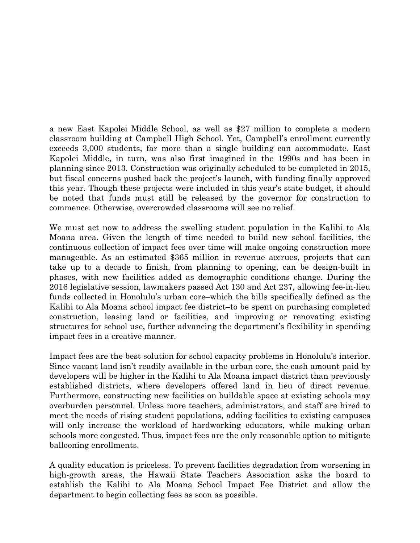a new East Kapolei Middle School, as well as \$27 million to complete a modern classroom building at Campbell High School. Yet, Campbell's enrollment currently exceeds 3,000 students, far more than a single building can accommodate. East Kapolei Middle, in turn, was also first imagined in the 1990s and has been in planning since 2013. Construction was originally scheduled to be completed in 2015, but fiscal concerns pushed back the project's launch, with funding finally approved this year. Though these projects were included in this year's state budget, it should be noted that funds must still be released by the governor for construction to commence. Otherwise, overcrowded classrooms will see no relief.

We must act now to address the swelling student population in the Kalihi to Ala Moana area. Given the length of time needed to build new school facilities, the continuous collection of impact fees over time will make ongoing construction more manageable. As an estimated \$365 million in revenue accrues, projects that can take up to a decade to finish, from planning to opening, can be design-built in phases, with new facilities added as demographic conditions change. During the 2016 legislative session, lawmakers passed Act 130 and Act 237, allowing fee-in-lieu funds collected in Honolulu's urban core–which the bills specifically defined as the Kalihi to Ala Moana school impact fee district–to be spent on purchasing completed construction, leasing land or facilities, and improving or renovating existing structures for school use, further advancing the department's flexibility in spending impact fees in a creative manner.

Impact fees are the best solution for school capacity problems in Honolulu's interior. Since vacant land isn't readily available in the urban core, the cash amount paid by developers will be higher in the Kalihi to Ala Moana impact district than previously established districts, where developers offered land in lieu of direct revenue. Furthermore, constructing new facilities on buildable space at existing schools may overburden personnel. Unless more teachers, administrators, and staff are hired to meet the needs of rising student populations, adding facilities to existing campuses will only increase the workload of hardworking educators, while making urban schools more congested. Thus, impact fees are the only reasonable option to mitigate ballooning enrollments.

A quality education is priceless. To prevent facilities degradation from worsening in high-growth areas, the Hawaii State Teachers Association asks the board to establish the Kalihi to Ala Moana School Impact Fee District and allow the department to begin collecting fees as soon as possible.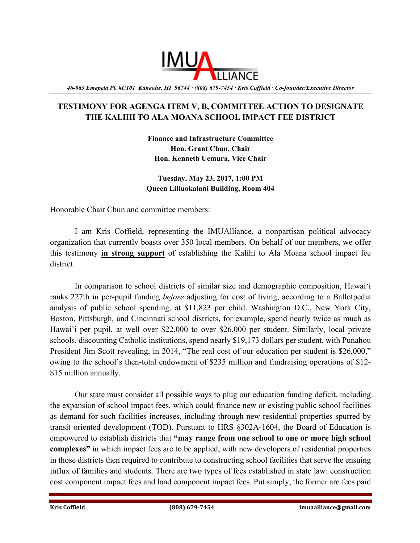

*46-063 Emepela Pl. #U101 Kaneohe, HI 96744 · (808) 679-7454 · Kris Coffield · Co-founder/Executive Director* 

# **TESTIMONY FOR AGENGA ITEM V, B, COMMITTEE ACTION TO DESIGNATE THE KALIHI TO ALA MOANA SCHOOL IMPACT FEE DISTRICT**

**Finance and Infrastructure Committee Hon. Grant Chun, Chair Hon. Kenneth Uemura, Vice Chair**

### **Tuesday, May 23, 2017, 1:00 PM Queen Liliuokalani Building, Room 404**

Honorable Chair Chun and committee members:

I am Kris Coffield, representing the IMUAlliance, a nonpartisan political advocacy organization that currently boasts over 350 local members. On behalf of our members, we offer this testimony **in strong support** of establishing the Kalihi to Ala Moana school impact fee district.

In comparison to school districts of similar size and demographic composition, Hawai'i ranks 227th in per-pupil funding *before* adjusting for cost of living, according to a Ballotpedia analysis of public school spending, at \$11,823 per child. Washington D.C., New York City, Boston, Pittsburgh, and Cincinnati school districts, for example, spend nearly twice as much as Hawai'i per pupil, at well over \$22,000 to over \$26,000 per student. Similarly, local private schools, discounting Catholic institutions, spend nearly \$19,173 dollars per student, with Punahou President Jim Scott revealing, in 2014, "The real cost of our education per student is \$26,000," owing to the school's then-total endowment of \$235 million and fundraising operations of \$12- \$15 million annually.

Our state must consider all possible ways to plug our education funding deficit, including the expansion of school impact fees, which could finance new or existing public school facilities as demand for such facilities increases, including through new residential properties spurred by transit oriented development (TOD). Pursuant to HRS §302A-1604, the Board of Education is empowered to establish districts that **"may range from one school to one or more high school complexes"** in which impact fees are to be applied, with new developers of residential properties in those districts then required to contribute to constructing school facilities that serve the ensuing influx of families and students. There are two types of fees established in state law: construction cost component impact fees and land component impact fees. Put simply, the former are fees paid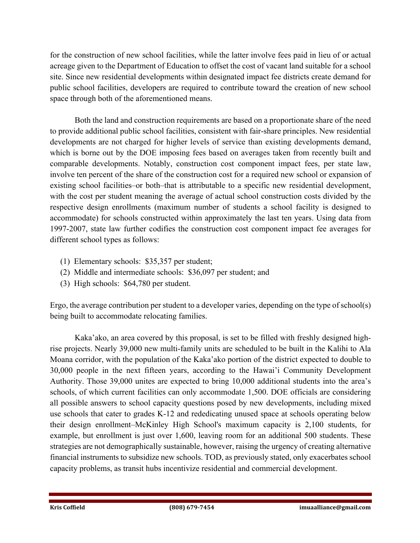for the construction of new school facilities, while the latter involve fees paid in lieu of or actual acreage given to the Department of Education to offset the cost of vacant land suitable for a school site. Since new residential developments within designated impact fee districts create demand for public school facilities, developers are required to contribute toward the creation of new school space through both of the aforementioned means.

Both the land and construction requirements are based on a proportionate share of the need to provide additional public school facilities, consistent with fair-share principles. New residential developments are not charged for higher levels of service than existing developments demand, which is borne out by the DOE imposing fees based on averages taken from recently built and comparable developments. Notably, construction cost component impact fees, per state law, involve ten percent of the share of the construction cost for a required new school or expansion of existing school facilities–or both–that is attributable to a specific new residential development, with the cost per student meaning the average of actual school construction costs divided by the respective design enrollments (maximum number of students a school facility is designed to accommodate) for schools constructed within approximately the last ten years. Using data from 1997-2007, state law further codifies the construction cost component impact fee averages for different school types as follows:

- (1) Elementary schools: \$35,357 per student;
- (2) Middle and intermediate schools: \$36,097 per student; and
- (3) High schools: \$64,780 per student.

Ergo, the average contribution per student to a developer varies, depending on the type of school(s) being built to accommodate relocating families.

Kaka'ako, an area covered by this proposal, is set to be filled with freshly designed highrise projects. Nearly 39,000 new multi-family units are scheduled to be built in the Kalihi to Ala Moana corridor, with the population of the Kaka'ako portion of the district expected to double to 30,000 people in the next fifteen years, according to the Hawai'i Community Development Authority. Those 39,000 unites are expected to bring 10,000 additional students into the area's schools, of which current facilities can only accommodate 1,500. DOE officials are considering all possible answers to school capacity questions posed by new developments, including mixed use schools that cater to grades K-12 and rededicating unused space at schools operating below their design enrollment–McKinley High School's maximum capacity is 2,100 students, for example, but enrollment is just over 1,600, leaving room for an additional 500 students. These strategies are not demographically sustainable, however, raising the urgency of creating alternative financial instruments to subsidize new schools. TOD, as previously stated, only exacerbates school capacity problems, as transit hubs incentivize residential and commercial development.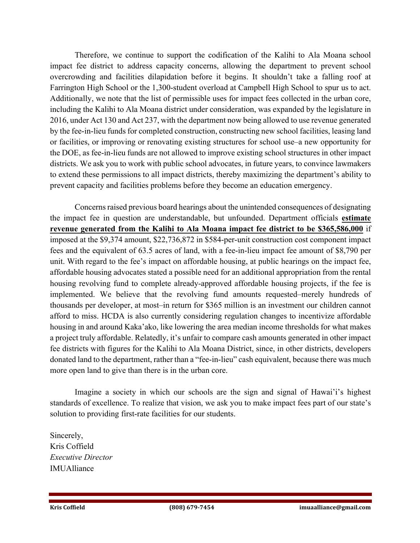Therefore, we continue to support the codification of the Kalihi to Ala Moana school impact fee district to address capacity concerns, allowing the department to prevent school overcrowding and facilities dilapidation before it begins. It shouldn't take a falling roof at Farrington High School or the 1,300-student overload at Campbell High School to spur us to act. Additionally, we note that the list of permissible uses for impact fees collected in the urban core, including the Kalihi to Ala Moana district under consideration, was expanded by the legislature in 2016, under Act 130 and Act 237, with the department now being allowed to use revenue generated by the fee-in-lieu funds for completed construction, constructing new school facilities, leasing land or facilities, or improving or renovating existing structures for school use–a new opportunity for the DOE, as fee-in-lieu funds are not allowed to improve existing school structures in other impact districts. We ask you to work with public school advocates, in future years, to convince lawmakers to extend these permissions to all impact districts, thereby maximizing the department's ability to prevent capacity and facilities problems before they become an education emergency.

Concerns raised previous board hearings about the unintended consequences of designating the impact fee in question are understandable, but unfounded. Department officials **estimate revenue generated from the Kalihi to Ala Moana impact fee district to be \$365,586,000** if imposed at the \$9,374 amount, \$22,736,872 in \$584-per-unit construction cost component impact fees and the equivalent of 63.5 acres of land, with a fee-in-lieu impact fee amount of \$8,790 per unit. With regard to the fee's impact on affordable housing, at public hearings on the impact fee, affordable housing advocates stated a possible need for an additional appropriation from the rental housing revolving fund to complete already-approved affordable housing projects, if the fee is implemented. We believe that the revolving fund amounts requested–merely hundreds of thousands per developer, at most–in return for \$365 million is an investment our children cannot afford to miss. HCDA is also currently considering regulation changes to incentivize affordable housing in and around Kaka'ako, like lowering the area median income thresholds for what makes a project truly affordable. Relatedly, it's unfair to compare cash amounts generated in other impact fee districts with figures for the Kalihi to Ala Moana District, since, in other districts, developers donated land to the department, rather than a "fee-in-lieu" cash equivalent, because there was much more open land to give than there is in the urban core.

Imagine a society in which our schools are the sign and signal of Hawai'i's highest standards of excellence. To realize that vision, we ask you to make impact fees part of our state's solution to providing first-rate facilities for our students.

Sincerely, Kris Coffield *Executive Director* IMUAlliance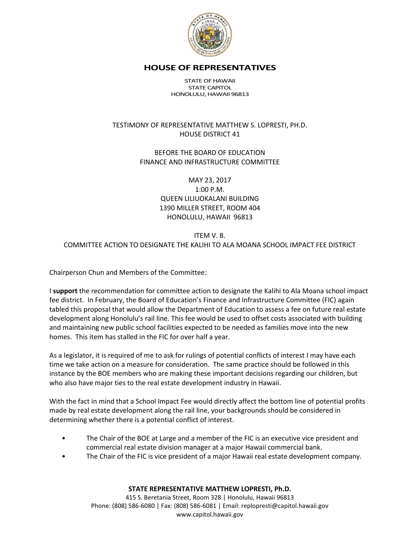

#### **HOUSE OF REPRESENTATIVES**

STATE OF HAWAII STATE CAPITOL HONOLULU, HAWAII 96813

### TESTIMONY OF REPRESENTATIVE MATTHEW S. LOPRESTI, PH.D. HOUSE DISTRICT 41

#### BEFORE THE BOARD OF EDUCATION FINANCE AND INFRASTRUCTURE COMMITTEE

## MAY 23, 2017 1:00 P.M. QUEEN LILIUOKALANI BUILDING 1390 MILLER STREET, ROOM 404 HONOLULU, HAWAII 96813

### ITEM V. B. COMMITTEE ACTION TO DESIGNATE THE KALIHI TO ALA MOANA SCHOOL IMPACT FEE DISTRICT

Chairperson Chun and Members of the Committee:

I **support** the recommendation for committee action to designate the Kalihi to Ala Moana school impact fee district. In February, the Board of Education's Finance and Infrastructure Committee (FIC) again tabled this proposal that would allow the Department of Education to assess a fee on future real estate development along Honolulu's rail line. This fee would be used to offset costs associated with building and maintaining new public school facilities expected to be needed as families move into the new homes. This item has stalled in the FIC for over half a year.

As a legislator, it is required of me to ask for rulings of potential conflicts of interest I may have each time we take action on a measure for consideration. The same practice should be followed in this instance by the BOE members who are making these important decisions regarding our children, but who also have major ties to the real estate development industry in Hawaii.

With the fact in mind that a School Impact Fee would directly affect the bottom line of potential profits made by real estate development along the rail line, your backgrounds should be considered in determining whether there is a potential conflict of interest.

- The Chair of the BOE at Large and a member of the FIC is an executive vice president and commercial real estate division manager at a major Hawaii commercial bank.
- The Chair of the FIC is vice president of a major Hawaii real estate development company.

#### **STATE REPRESENTATIVE MATTHEW LOPRESTI, Ph.D.**

415 S. Beretania Street, Room 328 | Honolulu, Hawaii 96813 Phone: (808) 586-6080 | Fax: (808) 586-6081 | Email: replopresti@capitol.hawaii.gov www.capitol.hawaii.gov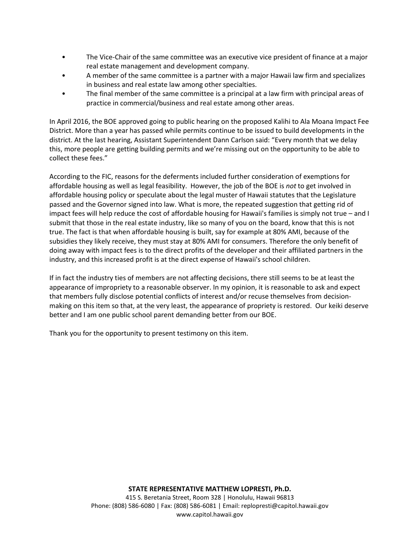- The Vice-Chair of the same committee was an executive vice president of finance at a major real estate management and development company.
- A member of the same committee is a partner with a major Hawaii law firm and specializes in business and real estate law among other specialties.
- The final member of the same committee is a principal at a law firm with principal areas of practice in commercial/business and real estate among other areas.

In April 2016, the BOE approved going to public hearing on the proposed Kalihi to Ala Moana Impact Fee District. More than a year has passed while permits continue to be issued to build developments in the district. At the last hearing, Assistant Superintendent Dann Carlson said: "Every month that we delay this, more people are getting building permits and we're missing out on the opportunity to be able to collect these fees."

According to the FIC, reasons for the deferments included further consideration of exemptions for affordable housing as well as legal feasibility. However, the job of the BOE is *not* to get involved in affordable housing policy or speculate about the legal muster of Hawaii statutes that the Legislature passed and the Governor signed into law. What is more, the repeated suggestion that getting rid of impact fees will help reduce the cost of affordable housing for Hawaii's families is simply not true – and I submit that those in the real estate industry, like so many of you on the board, know that this is not true. The fact is that when affordable housing is built, say for example at 80% AMI, because of the subsidies they likely receive, they must stay at 80% AMI for consumers. Therefore the only benefit of doing away with impact fees is to the direct profits of the developer and their affiliated partners in the industry, and this increased profit is at the direct expense of Hawaii's school children.

If in fact the industry ties of members are not affecting decisions, there still seems to be at least the appearance of impropriety to a reasonable observer. In my opinion, it is reasonable to ask and expect that members fully disclose potential conflicts of interest and/or recuse themselves from decisionmaking on this item so that, at the very least, the appearance of propriety is restored. Our keiki deserve better and I am one public school parent demanding better from our BOE.

Thank you for the opportunity to present testimony on this item.

#### **STATE REPRESENTATIVE MATTHEW LOPRESTI, Ph.D.**

415 S. Beretania Street, Room 328 | Honolulu, Hawaii 96813 Phone: (808) 586-6080 | Fax: (808) 586-6081 | Email: replopresti@capitol.hawaii.gov www.capitol.hawaii.gov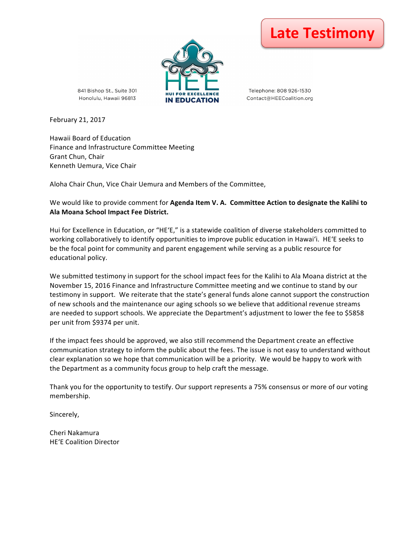

Telephone: 808 926-1530 Contact@HEECoalition.org



841 Bishop St., Suite 301

February 21, 2017

Hawaii Board of Education Finance and Infrastructure Committee Meeting Grant Chun, Chair Kenneth Uemura, Vice Chair

Aloha Chair Chun, Vice Chair Uemura and Members of the Committee,

We would like to provide comment for **Agenda Item V. A. Committee Action to designate the Kalihi to Ala Moana School Impact Fee District.**

Hui for Excellence in Education, or "HEʻE," is a statewide coalition of diverse stakeholders committed to working collaboratively to identify opportunities to improve public education in Hawai'i. HE'E seeks to be the focal point for community and parent engagement while serving as a public resource for educational policy. 

We submitted testimony in support for the school impact fees for the Kalihi to Ala Moana district at the November 15, 2016 Finance and Infrastructure Committee meeting and we continue to stand by our testimony in support. We reiterate that the state's general funds alone cannot support the construction of new schools and the maintenance our aging schools so we believe that additional revenue streams are needed to support schools. We appreciate the Department's adjustment to lower the fee to \$5858 per unit from \$9374 per unit.

If the impact fees should be approved, we also still recommend the Department create an effective communication strategy to inform the public about the fees. The issue is not easy to understand without clear explanation so we hope that communication will be a priority. We would be happy to work with the Department as a community focus group to help craft the message.

Thank you for the opportunity to testify. Our support represents a 75% consensus or more of our voting membership. 

Sincerely,

Cheri Nakamura HE'E Coalition Director